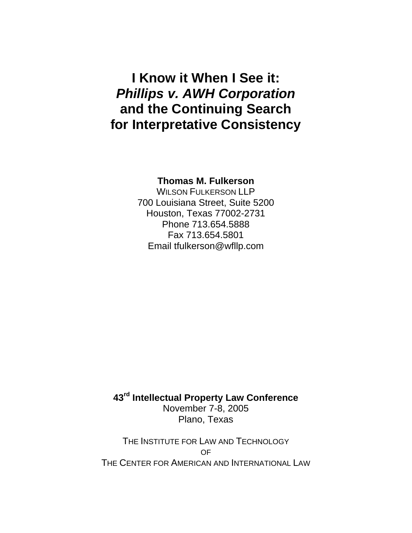# **I Know it When I See it:**  *Phillips v. AWH Corporation*  **and the Continuing Search for Interpretative Consistency**

### **Thomas M. Fulkerson**

WILSON FULKERSON LLP 700 Louisiana Street, Suite 5200 Houston, Texas 77002-2731 Phone 713.654.5888 Fax 713.654.5801 Email tfulkerson@wfllp.com

**43rd Intellectual Property Law Conference**  November 7-8, 2005 Plano, Texas

THE INSTITUTE FOR LAW AND TECHNOLOGY OF THE CENTER FOR AMERICAN AND INTERNATIONAL LAW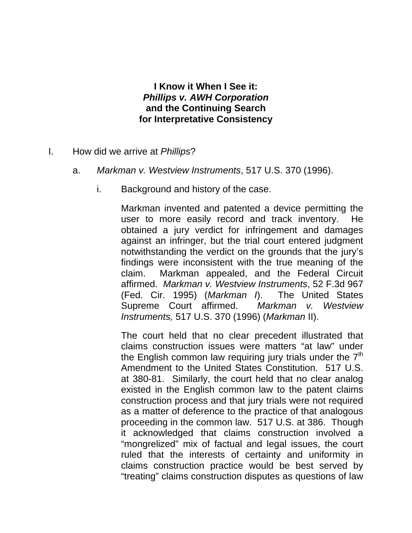## **I Know it When I See it:**  *Phillips v. AWH Corporation*  **and the Continuing Search for Interpretative Consistency**

- I. How did we arrive at *Phillips*?
	- a. *Markman v. Westview Instruments*, 517 U.S. 370 (1996).
		- i. Background and history of the case.

Markman invented and patented a device permitting the user to more easily record and track inventory. He obtained a jury verdict for infringement and damages against an infringer, but the trial court entered judgment notwithstanding the verdict on the grounds that the jury's findings were inconsistent with the true meaning of the claim. Markman appealed, and the Federal Circuit affirmed. *Markman v. Westview Instruments*, 52 F.3d 967 (Fed. Cir. 1995) (*Markman I*). The United States Supreme Court affirmed. *Markman v. Westview Instruments,* 517 U.S. 370 (1996) (*Markman* II).

The court held that no clear precedent illustrated that claims construction issues were matters "at law" under the English common law requiring jury trials under the  $7<sup>th</sup>$ Amendment to the United States Constitution. 517 U.S. at 380-81. Similarly, the court held that no clear analog existed in the English common law to the patent claims construction process and that jury trials were not required as a matter of deference to the practice of that analogous proceeding in the common law. 517 U.S. at 386. Though it acknowledged that claims construction involved a "mongrelized" mix of factual and legal issues, the court ruled that the interests of certainty and uniformity in claims construction practice would be best served by "treating" claims construction disputes as questions of law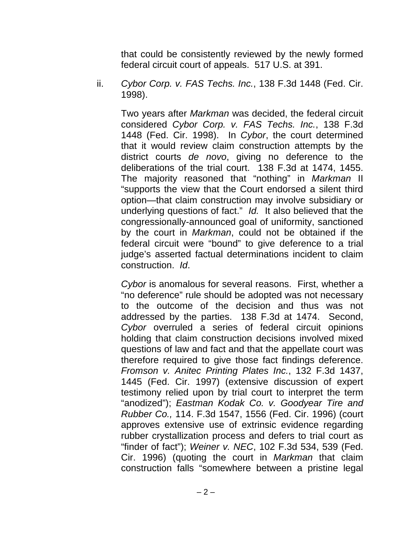that could be consistently reviewed by the newly formed federal circuit court of appeals. 517 U.S. at 391.

ii. *Cybor Corp. v. FAS Techs. Inc.*, 138 F.3d 1448 (Fed. Cir. 1998).

Two years after *Markman* was decided, the federal circuit considered *Cybor Corp. v. FAS Techs. Inc.*, 138 F.3d 1448 (Fed. Cir. 1998). In *Cybor*, the court determined that it would review claim construction attempts by the district courts *de novo*, giving no deference to the deliberations of the trial court. 138 F.3d at 1474, 1455. The majority reasoned that "nothing" in *Markman* II "supports the view that the Court endorsed a silent third option—that claim construction may involve subsidiary or underlying questions of fact." *Id.* It also believed that the congressionally-announced goal of uniformity, sanctioned by the court in *Markman*, could not be obtained if the federal circuit were "bound" to give deference to a trial judge's asserted factual determinations incident to claim construction. *Id*.

*Cybor* is anomalous for several reasons. First, whether a "no deference" rule should be adopted was not necessary to the outcome of the decision and thus was not addressed by the parties. 138 F.3d at 1474. Second, *Cybor* overruled a series of federal circuit opinions holding that claim construction decisions involved mixed questions of law and fact and that the appellate court was therefore required to give those fact findings deference. *Fromson v. Anitec Printing Plates Inc.*, 132 F.3d 1437, 1445 (Fed. Cir. 1997) (extensive discussion of expert testimony relied upon by trial court to interpret the term "anodized"); *Eastman Kodak Co. v. Goodyear Tire and Rubber Co.,* 114. F.3d 1547, 1556 (Fed. Cir. 1996) (court approves extensive use of extrinsic evidence regarding rubber crystallization process and defers to trial court as "finder of fact"); *Weiner v. NEC*, 102 F.3d 534, 539 (Fed. Cir. 1996) (quoting the court in *Markman* that claim construction falls "somewhere between a pristine legal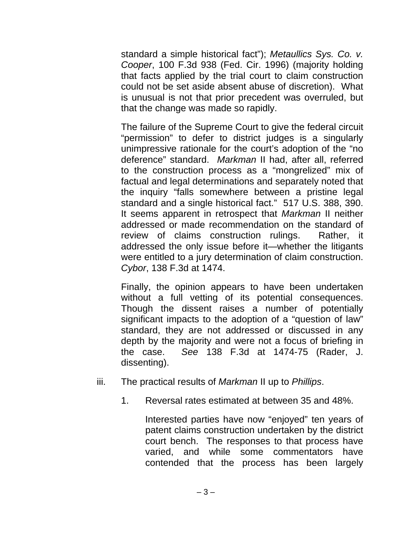standard a simple historical fact"); *Metaullics Sys. Co. v. Cooper*, 100 F.3d 938 (Fed. Cir. 1996) (majority holding that facts applied by the trial court to claim construction could not be set aside absent abuse of discretion). What is unusual is not that prior precedent was overruled, but that the change was made so rapidly.

The failure of the Supreme Court to give the federal circuit "permission" to defer to district judges is a singularly unimpressive rationale for the court's adoption of the "no deference" standard. *Markman* II had, after all, referred to the construction process as a "mongrelized" mix of factual and legal determinations and separately noted that the inquiry "falls somewhere between a pristine legal standard and a single historical fact." 517 U.S. 388, 390. It seems apparent in retrospect that *Markman* II neither addressed or made recommendation on the standard of review of claims construction rulings. Rather, it addressed the only issue before it—whether the litigants were entitled to a jury determination of claim construction. *Cybor*, 138 F.3d at 1474.

Finally, the opinion appears to have been undertaken without a full vetting of its potential consequences. Though the dissent raises a number of potentially significant impacts to the adoption of a "question of law" standard, they are not addressed or discussed in any depth by the majority and were not a focus of briefing in the case. *See* 138 F.3d at 1474-75 (Rader, J. dissenting).

- iii. The practical results of *Markman* II up to *Phillips*.
	- 1. Reversal rates estimated at between 35 and 48%.

Interested parties have now "enjoyed" ten years of patent claims construction undertaken by the district court bench. The responses to that process have varied, and while some commentators have contended that the process has been largely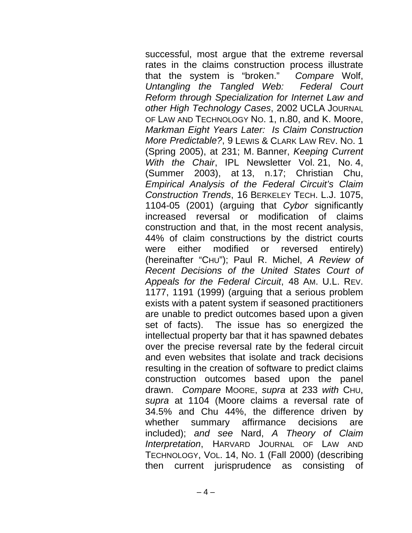successful, most argue that the extreme reversal rates in the claims construction process illustrate that the system is "broken." *Compare* Wolf, *Untangling the Tangled Web: Federal Court Reform through Specialization for Internet Law and other High Technology Cases*, 2002 UCLA JOURNAL OF LAW AND TECHNOLOGY NO. 1, n.80, and K. Moore, *Markman Eight Years Later: Is Claim Construction More Predictable?*, 9 LEWIS & CLARK LAW REV. NO. 1 (Spring 2005), at 231; M. Banner, *Keeping Current With the Chair*, IPL Newsletter Vol. 21, No. 4, (Summer 2003), at 13, n.17; Christian Chu, *Empirical Analysis of the Federal Circuit's Claim Construction Trends*, 16 BERKELEY TECH. L.J. 1075, 1104-05 (2001) (arguing that *Cybor* significantly increased reversal or modification of claims construction and that, in the most recent analysis, 44% of claim constructions by the district courts were either modified or reversed entirely) (hereinafter "CHU"); Paul R. Michel, *A Review of Recent Decisions of the United States Court of Appeals for the Federal Circuit*, 48 AM. U.L. REV. 1177, 1191 (1999) (arguing that a serious problem exists with a patent system if seasoned practitioners are unable to predict outcomes based upon a given set of facts). The issue has so energized the intellectual property bar that it has spawned debates over the precise reversal rate by the federal circuit and even websites that isolate and track decisions resulting in the creation of software to predict claims construction outcomes based upon the panel drawn. *Compare* MOORE, *supra* at 233 *with* CHU, *supra* at 1104 (Moore claims a reversal rate of 34.5% and Chu 44%, the difference driven by whether summary affirmance decisions are included); *and see* Nard, *A Theory of Claim Interpretation*, HARVARD JOURNAL OF LAW AND TECHNOLOGY, VOL. 14, NO. 1 (Fall 2000) (describing then current jurisprudence as consisting of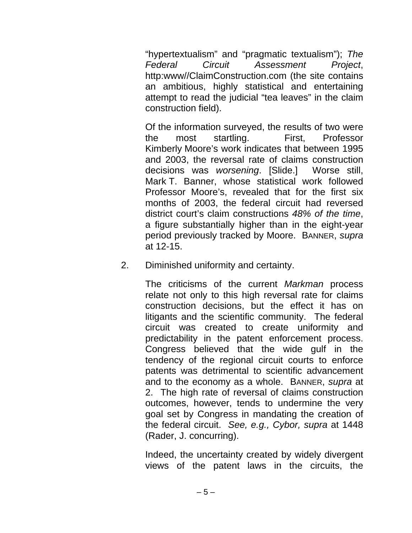"hypertextualism" and "pragmatic textualism"); *The Federal Circuit Assessment Project*, http:www//ClaimConstruction.com (the site contains an ambitious, highly statistical and entertaining attempt to read the judicial "tea leaves" in the claim construction field).

Of the information surveyed, the results of two were the most startling. First, Professor Kimberly Moore's work indicates that between 1995 and 2003, the reversal rate of claims construction decisions was *worsening*. [Slide.] Worse still, Mark T. Banner, whose statistical work followed Professor Moore's, revealed that for the first six months of 2003, the federal circuit had reversed district court's claim constructions *48% of the time*, a figure substantially higher than in the eight-year period previously tracked by Moore. BANNER, *supra* at 12-15.

2. Diminished uniformity and certainty.

The criticisms of the current *Markman* process relate not only to this high reversal rate for claims construction decisions, but the effect it has on litigants and the scientific community. The federal circuit was created to create uniformity and predictability in the patent enforcement process. Congress believed that the wide gulf in the tendency of the regional circuit courts to enforce patents was detrimental to scientific advancement and to the economy as a whole. BANNER, *supra* at 2. The high rate of reversal of claims construction outcomes, however, tends to undermine the very goal set by Congress in mandating the creation of the federal circuit. *See, e.g., Cybor, supra* at 1448 (Rader, J. concurring).

Indeed, the uncertainty created by widely divergent views of the patent laws in the circuits, the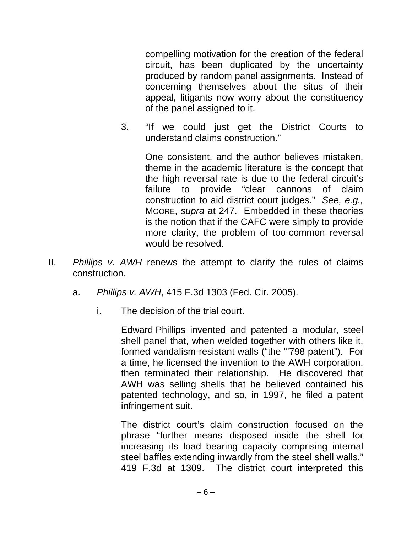compelling motivation for the creation of the federal circuit, has been duplicated by the uncertainty produced by random panel assignments. Instead of concerning themselves about the situs of their appeal, litigants now worry about the constituency of the panel assigned to it.

3. "If we could just get the District Courts to understand claims construction."

One consistent, and the author believes mistaken, theme in the academic literature is the concept that the high reversal rate is due to the federal circuit's failure to provide "clear cannons of claim construction to aid district court judges." *See, e.g.,* MOORE, *supra* at 247. Embedded in these theories is the notion that if the CAFC were simply to provide more clarity, the problem of too-common reversal would be resolved.

- II. *Phillips v. AWH* renews the attempt to clarify the rules of claims construction.
	- a. *Phillips v. AWH*, 415 F.3d 1303 (Fed. Cir. 2005).
		- i. The decision of the trial court.

Edward Phillips invented and patented a modular, steel shell panel that, when welded together with others like it, formed vandalism-resistant walls ("the "798 patent"). For a time, he licensed the invention to the AWH corporation, then terminated their relationship. He discovered that AWH was selling shells that he believed contained his patented technology, and so, in 1997, he filed a patent infringement suit.

The district court's claim construction focused on the phrase "further means disposed inside the shell for increasing its load bearing capacity comprising internal steel baffles extending inwardly from the steel shell walls." 419 F.3d at 1309. The district court interpreted this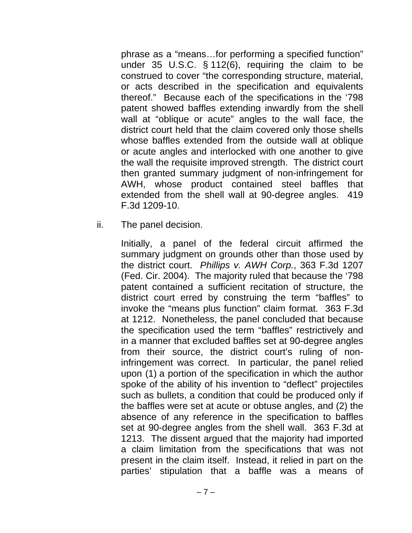phrase as a "means…for performing a specified function" under 35 U.S.C. § 112(6), requiring the claim to be construed to cover "the corresponding structure, material, or acts described in the specification and equivalents thereof." Because each of the specifications in the '798 patent showed baffles extending inwardly from the shell wall at "oblique or acute" angles to the wall face, the district court held that the claim covered only those shells whose baffles extended from the outside wall at oblique or acute angles and interlocked with one another to give the wall the requisite improved strength. The district court then granted summary judgment of non-infringement for AWH, whose product contained steel baffles that extended from the shell wall at 90-degree angles. 419 F.3d 1209-10.

ii. The panel decision.

Initially, a panel of the federal circuit affirmed the summary judgment on grounds other than those used by the district court. *Phillips v. AWH Corp.*, 363 F.3d 1207 (Fed. Cir. 2004). The majority ruled that because the '798 patent contained a sufficient recitation of structure, the district court erred by construing the term "baffles" to invoke the "means plus function" claim format. 363 F.3d at 1212. Nonetheless, the panel concluded that because the specification used the term "baffles" restrictively and in a manner that excluded baffles set at 90-degree angles from their source, the district court's ruling of noninfringement was correct. In particular, the panel relied upon (1) a portion of the specification in which the author spoke of the ability of his invention to "deflect" projectiles such as bullets, a condition that could be produced only if the baffles were set at acute or obtuse angles, and (2) the absence of any reference in the specification to baffles set at 90-degree angles from the shell wall. 363 F.3d at 1213. The dissent argued that the majority had imported a claim limitation from the specifications that was not present in the claim itself. Instead, it relied in part on the parties' stipulation that a baffle was a means of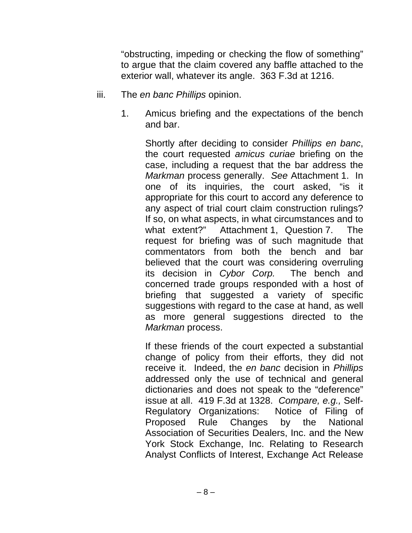"obstructing, impeding or checking the flow of something" to argue that the claim covered any baffle attached to the exterior wall, whatever its angle. 363 F.3d at 1216.

- iii. The *en banc Phillips* opinion.
	- 1. Amicus briefing and the expectations of the bench and bar.

Shortly after deciding to consider *Phillips en banc*, the court requested *amicus curiae* briefing on the case, including a request that the bar address the *Markman* process generally. *See* Attachment 1. In one of its inquiries, the court asked, "is it appropriate for this court to accord any deference to any aspect of trial court claim construction rulings? If so, on what aspects, in what circumstances and to what extent?" Attachment 1, Question 7. The request for briefing was of such magnitude that commentators from both the bench and bar believed that the court was considering overruling its decision in *Cybor Corp.* The bench and concerned trade groups responded with a host of briefing that suggested a variety of specific suggestions with regard to the case at hand, as well as more general suggestions directed to the *Markman* process.

If these friends of the court expected a substantial change of policy from their efforts, they did not receive it. Indeed, the *en banc* decision in *Phillips*  addressed only the use of technical and general dictionaries and does not speak to the "deference" issue at all. 419 F.3d at 1328. *Compare, e.g.,* Self-Regulatory Organizations: Notice of Filing of Proposed Rule Changes by the National Association of Securities Dealers, Inc. and the New York Stock Exchange, Inc. Relating to Research Analyst Conflicts of Interest, Exchange Act Release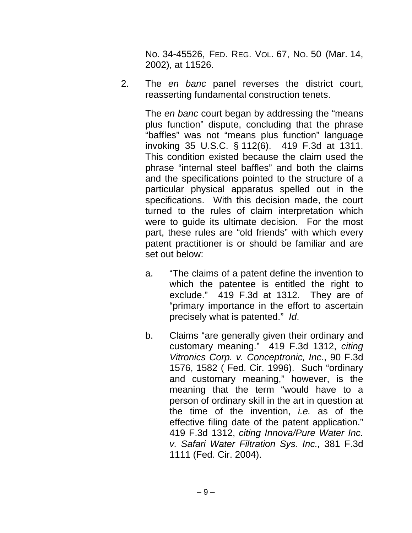No. 34-45526, FED. REG. VOL. 67, NO. 50 (Mar. 14, 2002), at 11526.

2. The *en banc* panel reverses the district court, reasserting fundamental construction tenets.

> The *en banc* court began by addressing the "means plus function" dispute, concluding that the phrase "baffles" was not "means plus function" language invoking 35 U.S.C. § 112(6). 419 F.3d at 1311. This condition existed because the claim used the phrase "internal steel baffles" and both the claims and the specifications pointed to the structure of a particular physical apparatus spelled out in the specifications. With this decision made, the court turned to the rules of claim interpretation which were to guide its ultimate decision. For the most part, these rules are "old friends" with which every patent practitioner is or should be familiar and are set out below:

- a. "The claims of a patent define the invention to which the patentee is entitled the right to exclude." 419 F.3d at 1312. They are of "primary importance in the effort to ascertain precisely what is patented." *Id*.
- b. Claims "are generally given their ordinary and customary meaning." 419 F.3d 1312, *citing Vitronics Corp. v. Conceptronic, Inc.*, 90 F.3d 1576, 1582 ( Fed. Cir. 1996). Such "ordinary and customary meaning," however, is the meaning that the term "would have to a person of ordinary skill in the art in question at the time of the invention, *i.e.* as of the effective filing date of the patent application." 419 F.3d 1312, *citing Innova/Pure Water Inc. v. Safari Water Filtration Sys. Inc.,* 381 F.3d 1111 (Fed. Cir. 2004).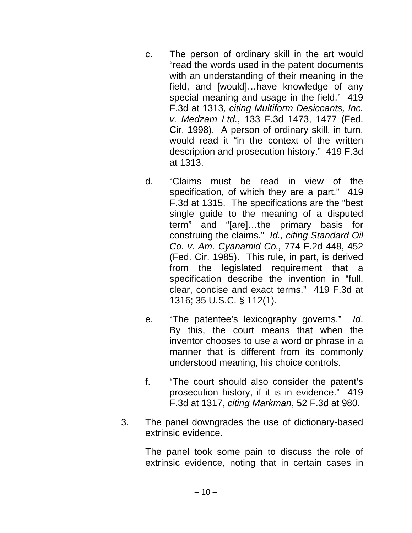- c. The person of ordinary skill in the art would "read the words used in the patent documents with an understanding of their meaning in the field, and [would]…have knowledge of any special meaning and usage in the field." 419 F.3d at 1313*, citing Multiform Desiccants, Inc. v. Medzam Ltd.*, 133 F.3d 1473, 1477 (Fed. Cir. 1998). A person of ordinary skill, in turn, would read it "in the context of the written description and prosecution history." 419 F.3d at 1313.
- d. "Claims must be read in view of the specification, of which they are a part." 419 F.3d at 1315. The specifications are the "best single guide to the meaning of a disputed term" and "[are]…the primary basis for construing the claims." *Id., citing Standard Oil Co. v. Am. Cyanamid Co.,* 774 F.2d 448, 452 (Fed. Cir. 1985). This rule, in part, is derived from the legislated requirement that a specification describe the invention in "full, clear, concise and exact terms." 419 F.3d at 1316; 35 U.S.C. § 112(1).
- e. "The patentee's lexicography governs." *Id*. By this, the court means that when the inventor chooses to use a word or phrase in a manner that is different from its commonly understood meaning, his choice controls.
- f. "The court should also consider the patent's prosecution history, if it is in evidence." 419 F.3d at 1317, *citing Markman*, 52 F.3d at 980.
- 3. The panel downgrades the use of dictionary-based extrinsic evidence.

The panel took some pain to discuss the role of extrinsic evidence, noting that in certain cases in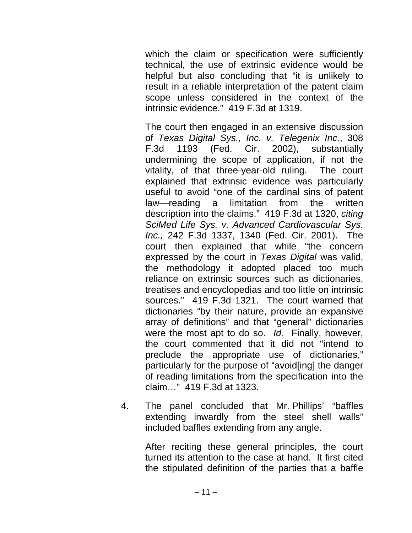which the claim or specification were sufficiently technical, the use of extrinsic evidence would be helpful but also concluding that "it is unlikely to result in a reliable interpretation of the patent claim scope unless considered in the context of the intrinsic evidence." 419 F.3d at 1319.

The court then engaged in an extensive discussion of *Texas Digital Sys., Inc. v. Telegenix Inc.*, 308 F.3d 1193 (Fed. Cir. 2002), substantially undermining the scope of application, if not the vitality, of that three-year-old ruling. The court explained that extrinsic evidence was particularly useful to avoid "one of the cardinal sins of patent law—reading a limitation from the written description into the claims." 419 F.3d at 1320, *citing SciMed Life Sys. v. Advanced Cardiovascular Sys. Inc.,* 242 F.3d 1337, 1340 (Fed. Cir. 2001). The court then explained that while "the concern expressed by the court in *Texas Digital* was valid, the methodology it adopted placed too much reliance on extrinsic sources such as dictionaries, treatises and encyclopedias and too little on intrinsic sources." 419 F.3d 1321. The court warned that dictionaries "by their nature, provide an expansive array of definitions" and that "general" dictionaries were the most apt to do so. *Id.* Finally, however, the court commented that it did not "intend to preclude the appropriate use of dictionaries," particularly for the purpose of "avoid[ing] the danger of reading limitations from the specification into the claim…" 419 F.3d at 1323.

4. The panel concluded that Mr. Phillips' "baffles extending inwardly from the steel shell walls" included baffles extending from any angle.

After reciting these general principles, the court turned its attention to the case at hand. It first cited the stipulated definition of the parties that a baffle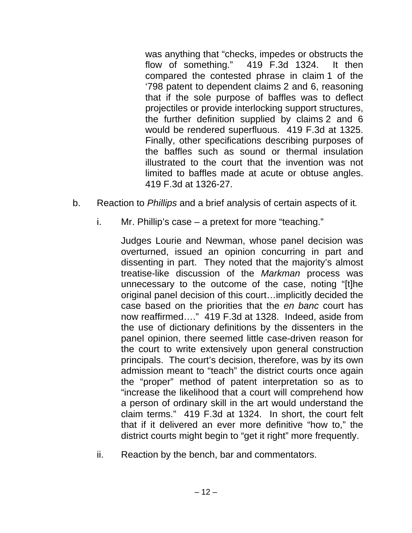was anything that "checks, impedes or obstructs the flow of something." 419 F.3d 1324. It then compared the contested phrase in claim 1 of the '798 patent to dependent claims 2 and 6, reasoning that if the sole purpose of baffles was to deflect projectiles or provide interlocking support structures, the further definition supplied by claims 2 and 6 would be rendered superfluous. 419 F.3d at 1325. Finally, other specifications describing purposes of the baffles such as sound or thermal insulation illustrated to the court that the invention was not limited to baffles made at acute or obtuse angles. 419 F.3d at 1326-27.

- b. Reaction to *Phillips* and a brief analysis of certain aspects of it*.*
	- i. Mr. Phillip's case a pretext for more "teaching."

Judges Lourie and Newman, whose panel decision was overturned, issued an opinion concurring in part and dissenting in part. They noted that the majority's almost treatise-like discussion of the *Markman* process was unnecessary to the outcome of the case, noting "[t]he original panel decision of this court…implicitly decided the case based on the priorities that the *en banc* court has now reaffirmed…." 419 F.3d at 1328. Indeed, aside from the use of dictionary definitions by the dissenters in the panel opinion, there seemed little case-driven reason for the court to write extensively upon general construction principals. The court's decision, therefore, was by its own admission meant to "teach" the district courts once again the "proper" method of patent interpretation so as to "increase the likelihood that a court will comprehend how a person of ordinary skill in the art would understand the claim terms." 419 F.3d at 1324. In short, the court felt that if it delivered an ever more definitive "how to," the district courts might begin to "get it right" more frequently.

ii. Reaction by the bench, bar and commentators.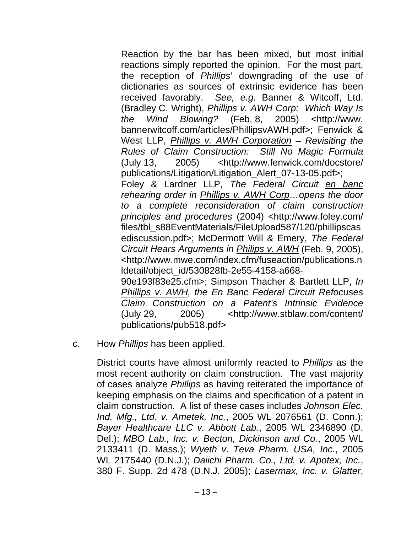Reaction by the bar has been mixed, but most initial reactions simply reported the opinion. For the most part, the reception of *Phillips*' downgrading of the use of dictionaries as sources of extrinsic evidence has been received favorably. *See, e.g.* Banner & Witcoff, Ltd. (Bradley C. Wright), *Phillips v. AWH Corp: Which Way Is the Wind Blowing?* (Feb. 8, 2005) <http://www. bannerwitcoff.com/articles/PhillipsvAWH.pdf>; Fenwick & West LLP, *Phillips v. AWH Corporation – Revisiting the Rules of Claim Construction: Still No Magic Formula* (July 13, 2005) <http://www.fenwick.com/docstore/ publications/Litigation/Litigation\_Alert\_07-13-05.pdf>; Foley & Lardner LLP, *The Federal Circuit en banc rehearing order in Phillips v. AWH Corp…opens the door to a complete reconsideration of claim construction principles and procedures* (2004) <http://www.foley.com/ files/tbl\_s88EventMaterials/FileUpload587/120/phillipscas ediscussion.pdf>; McDermott Will & Emery, *The Federal Circuit Hears Arguments in Philips v. AWH* (Feb. 9, 2005), <http://www.mwe.com/index.cfm/fuseaction/publications.n ldetail/object\_id/530828fb-2e55-4158-a668- 90e193f83e25.cfm>; Simpson Thacher & Bartlett LLP, *In Phillips v. AWH, the En Banc Federal Circuit Refocuses Claim Construction on a Patent's Intrinsic Evidence* (July 29, 2005) <http://www.stblaw.com/content/ publications/pub518.pdf>

c. How *Phillips* has been applied.

District courts have almost uniformly reacted to *Phillips* as the most recent authority on claim construction. The vast majority of cases analyze *Phillips* as having reiterated the importance of keeping emphasis on the claims and specification of a patent in claim construction. A list of these cases includes *Johnson Elec. Ind. Mfg., Ltd. v. Ametek, Inc.*, 2005 WL 2076561 (D. Conn.); *Bayer Healthcare LLC v. Abbott Lab.*, 2005 WL 2346890 (D. Del.); *MBO Lab., Inc. v. Becton, Dickinson and Co.*, 2005 WL 2133411 (D. Mass.); *Wyeth v. Teva Pharm. USA, Inc.*, 2005 WL 2175440 (D.N.J.); *Daiichi Pharm. Co., Ltd. v. Apotex, Inc.*, 380 F. Supp. 2d 478 (D.N.J. 2005); *Lasermax, Inc. v. Glatter*,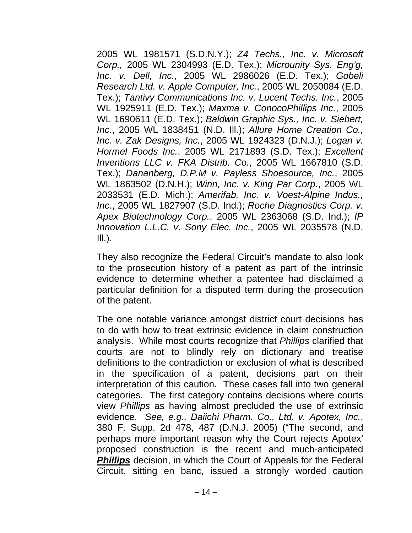2005 WL 1981571 (S.D.N.Y.); *Z4 Techs., Inc. v. Microsoft Corp.,* 2005 WL 2304993 (E.D. Tex.); *Microunity Sys. Eng'g, Inc. v. Dell, Inc.*, 2005 WL 2986026 (E.D. Tex.); *Gobeli Research Ltd. v. Apple Computer, Inc.*, 2005 WL 2050084 (E.D. Tex.); *Tantivy Communications Inc. v. Lucent Techs. Inc.*, 2005 WL 1925911 (E.D. Tex.); *Maxma v. ConocoPhillips Inc.*, 2005 WL 1690611 (E.D. Tex.); *Baldwin Graphic Sys., Inc. v. Siebert, Inc.*, 2005 WL 1838451 (N.D. Ill.); *Allure Home Creation Co., Inc. v. Zak Designs, Inc.*, 2005 WL 1924323 (D.N.J.); *Logan v. Hormel Foods Inc.*, 2005 WL 2171893 (S.D. Tex.); *Excellent Inventions LLC v. FKA Distrib. Co.*, 2005 WL 1667810 (S.D. Tex.); *Dananberg, D.P.M v. Payless Shoesource, Inc.*, 2005 WL 1863502 (D.N.H.); *Winn, Inc. v. King Par Corp.*, 2005 WL 2033531 (E.D. Mich.); *Amerifab, Inc. v. Voest-Alpine Indus., Inc.*, 2005 WL 1827907 (S.D. Ind.); *Roche Diagnostics Corp. v. Apex Biotechnology Corp.*, 2005 WL 2363068 (S.D. Ind.); *IP Innovation L.L.C. v. Sony Elec. Inc.*, 2005 WL 2035578 (N.D.  $III.$ ).

They also recognize the Federal Circuit's mandate to also look to the prosecution history of a patent as part of the intrinsic evidence to determine whether a patentee had disclaimed a particular definition for a disputed term during the prosecution of the patent.

The one notable variance amongst district court decisions has to do with how to treat extrinsic evidence in claim construction analysis. While most courts recognize that *Phillips* clarified that courts are not to blindly rely on dictionary and treatise definitions to the contradiction or exclusion of what is described in the specification of a patent, decisions part on their interpretation of this caution. These cases fall into two general categories. The first category contains decisions where courts view *Phillips* as having almost precluded the use of extrinsic evidence. *See, e.g., Daiichi Pharm. Co., Ltd. v. Apotex, Inc.*, 380 F. Supp. 2d 478, 487 (D.N.J. 2005) ("The second, and perhaps more important reason why the Court rejects Apotex' proposed construction is the recent and much-anticipated **Phillips** decision, in which the Court of Appeals for the Federal Circuit, sitting en banc, issued a strongly worded caution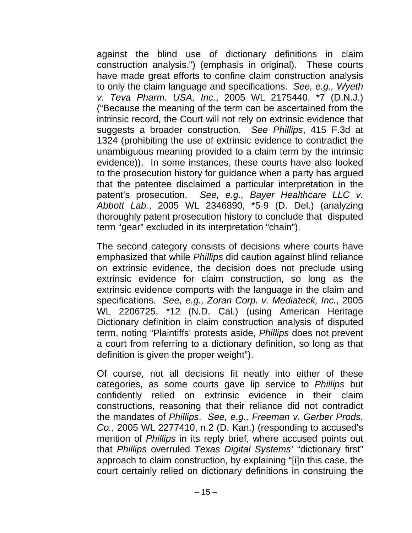against the blind use of dictionary definitions in claim construction analysis.") (emphasis in original). These courts have made great efforts to confine claim construction analysis to only the claim language and specifications. *See, e.g., Wyeth v. Teva Pharm. USA, Inc.*, 2005 WL 2175440, \*7 (D.N.J.) ("Because the meaning of the term can be ascertained from the intrinsic record, the Court will not rely on extrinsic evidence that suggests a broader construction. *See Phillips*, 415 F.3d at 1324 (prohibiting the use of extrinsic evidence to contradict the unambiguous meaning provided to a claim term by the intrinsic evidence)). In some instances, these courts have also looked to the prosecution history for guidance when a party has argued that the patentee disclaimed a particular interpretation in the patent's prosecution. *See, e.g., Bayer Healthcare LLC v. Abbott Lab.*, 2005 WL 2346890, \*5-9 (D. Del.) (analyzing thoroughly patent prosecution history to conclude that disputed term "gear" excluded in its interpretation "chain").

The second category consists of decisions where courts have emphasized that while *Phillips* did caution against blind reliance on extrinsic evidence, the decision does not preclude using extrinsic evidence for claim construction, so long as the extrinsic evidence comports with the language in the claim and specifications. *See, e.g., Zoran Corp. v. Mediateck, Inc.*, 2005 WL 2206725, \*12 (N.D. Cal.) (using American Heritage Dictionary definition in claim construction analysis of disputed term, noting "Plaintiffs' protests aside, *Phillips* does not prevent a court from referring to a dictionary definition, so long as that definition is given the proper weight").

Of course, not all decisions fit neatly into either of these categories, as some courts gave lip service to *Phillips* but confidently relied on extrinsic evidence in their claim constructions, reasoning that their reliance did not contradict the mandates of *Phillips*. *See, e.g., Freeman v. Gerber Prods. Co.*, 2005 WL 2277410, n.2 (D. Kan.) (responding to accused's mention of *Phillips* in its reply brief, where accused points out that *Phillips* overruled *Texas Digital Systems'* "dictionary first" approach to claim construction, by explaining "[i]n this case, the court certainly relied on dictionary definitions in construing the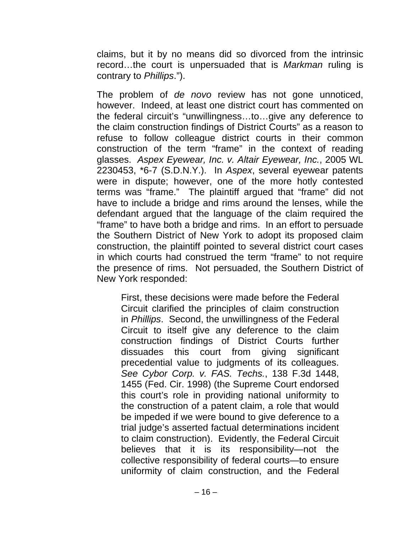claims, but it by no means did so divorced from the intrinsic record…the court is unpersuaded that is *Markman* ruling is contrary to *Phillips*.").

The problem of *de novo* review has not gone unnoticed, however. Indeed, at least one district court has commented on the federal circuit's "unwillingness…to…give any deference to the claim construction findings of District Courts" as a reason to refuse to follow colleague district courts in their common construction of the term "frame" in the context of reading glasses. *Aspex Eyewear, Inc. v. Altair Eyewear, Inc.*, 2005 WL 2230453, \*6-7 (S.D.N.Y.). In *Aspex*, several eyewear patents were in dispute; however, one of the more hotly contested terms was "frame." The plaintiff argued that "frame" did not have to include a bridge and rims around the lenses, while the defendant argued that the language of the claim required the "frame" to have both a bridge and rims. In an effort to persuade the Southern District of New York to adopt its proposed claim construction, the plaintiff pointed to several district court cases in which courts had construed the term "frame" to not require the presence of rims. Not persuaded, the Southern District of New York responded:

First, these decisions were made before the Federal Circuit clarified the principles of claim construction in *Phillips*. Second, the unwillingness of the Federal Circuit to itself give any deference to the claim construction findings of District Courts further dissuades this court from giving significant precedential value to judgments of its colleagues. *See Cybor Corp. v. FAS. Techs.*, 138 F.3d 1448, 1455 (Fed. Cir. 1998) (the Supreme Court endorsed this court's role in providing national uniformity to the construction of a patent claim, a role that would be impeded if we were bound to give deference to a trial judge's asserted factual determinations incident to claim construction). Evidently, the Federal Circuit believes that it is its responsibility—not the collective responsibility of federal courts—to ensure uniformity of claim construction, and the Federal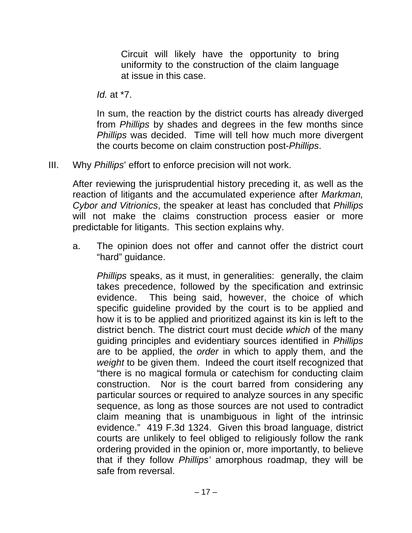Circuit will likely have the opportunity to bring uniformity to the construction of the claim language at issue in this case.

*Id.* at \*7.

In sum, the reaction by the district courts has already diverged from *Phillips* by shades and degrees in the few months since *Phillips* was decided. Time will tell how much more divergent the courts become on claim construction post-*Phillips*.

III. Why *Phillips*' effort to enforce precision will not work.

After reviewing the jurisprudential history preceding it, as well as the reaction of litigants and the accumulated experience after *Markman, Cybor and Vitrionics*, the speaker at least has concluded that *Phillips*  will not make the claims construction process easier or more predictable for litigants. This section explains why.

a. The opinion does not offer and cannot offer the district court "hard" guidance.

*Phillips* speaks, as it must, in generalities: generally, the claim takes precedence, followed by the specification and extrinsic evidence. This being said, however, the choice of which specific guideline provided by the court is to be applied and how it is to be applied and prioritized against its kin is left to the district bench. The district court must decide *which* of the many guiding principles and evidentiary sources identified in *Phillips*  are to be applied, the *order* in which to apply them, and the *weight* to be given them. Indeed the court itself recognized that "there is no magical formula or catechism for conducting claim construction. Nor is the court barred from considering any particular sources or required to analyze sources in any specific sequence, as long as those sources are not used to contradict claim meaning that is unambiguous in light of the intrinsic evidence." 419 F.3d 1324. Given this broad language, district courts are unlikely to feel obliged to religiously follow the rank ordering provided in the opinion or, more importantly, to believe that if they follow *Phillips'* amorphous roadmap, they will be safe from reversal.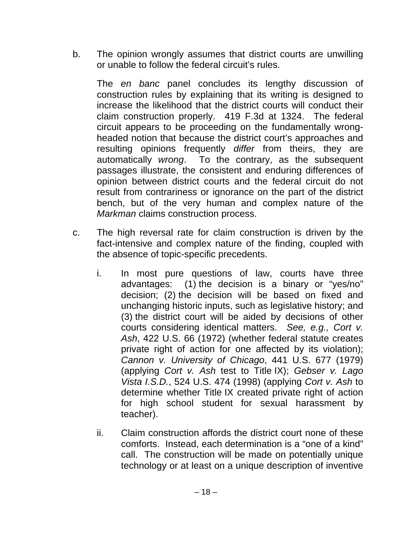b. The opinion wrongly assumes that district courts are unwilling or unable to follow the federal circuit's rules.

The *en banc* panel concludes its lengthy discussion of construction rules by explaining that its writing is designed to increase the likelihood that the district courts will conduct their claim construction properly. 419 F.3d at 1324. The federal circuit appears to be proceeding on the fundamentally wrongheaded notion that because the district court's approaches and resulting opinions frequently *differ* from theirs, they are automatically *wrong*. To the contrary, as the subsequent passages illustrate, the consistent and enduring differences of opinion between district courts and the federal circuit do not result from contrariness or ignorance on the part of the district bench, but of the very human and complex nature of the *Markman* claims construction process.

- c. The high reversal rate for claim construction is driven by the fact-intensive and complex nature of the finding, coupled with the absence of topic-specific precedents.
	- i. In most pure questions of law, courts have three advantages: (1) the decision is a binary or "yes/no" decision; (2) the decision will be based on fixed and unchanging historic inputs, such as legislative history; and (3) the district court will be aided by decisions of other courts considering identical matters. *See, e.g., Cort v. Ash*, 422 U.S. 66 (1972) (whether federal statute creates private right of action for one affected by its violation); *Cannon v. University of Chicago*, 441 U.S. 677 (1979) (applying *Cort v. Ash* test to Title IX); *Gebser v. Lago Vista I.S.D.*, 524 U.S. 474 (1998) (applying *Cort v. Ash* to determine whether Title IX created private right of action for high school student for sexual harassment by teacher).
	- ii. Claim construction affords the district court none of these comforts. Instead, each determination is a "one of a kind" call. The construction will be made on potentially unique technology or at least on a unique description of inventive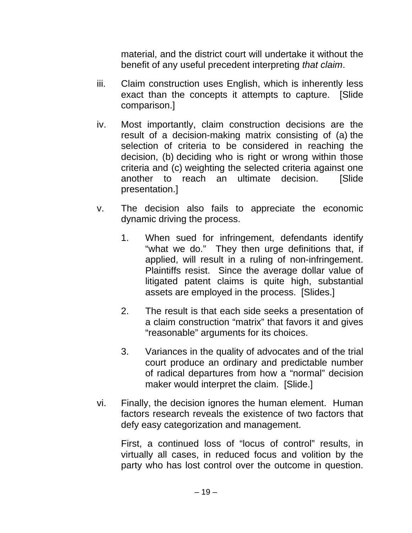material, and the district court will undertake it without the benefit of any useful precedent interpreting *that claim*.

- iii. Claim construction uses English, which is inherently less exact than the concepts it attempts to capture. [Slide comparison.]
- iv. Most importantly, claim construction decisions are the result of a decision-making matrix consisting of (a) the selection of criteria to be considered in reaching the decision, (b) deciding who is right or wrong within those criteria and (c) weighting the selected criteria against one another to reach an ultimate decision. [Slide presentation.]
- v. The decision also fails to appreciate the economic dynamic driving the process.
	- 1. When sued for infringement, defendants identify "what we do." They then urge definitions that, if applied, will result in a ruling of non-infringement. Plaintiffs resist. Since the average dollar value of litigated patent claims is quite high, substantial assets are employed in the process. [Slides.]
	- 2. The result is that each side seeks a presentation of a claim construction "matrix" that favors it and gives "reasonable" arguments for its choices.
	- 3. Variances in the quality of advocates and of the trial court produce an ordinary and predictable number of radical departures from how a "normal" decision maker would interpret the claim. [Slide.]
- vi. Finally, the decision ignores the human element. Human factors research reveals the existence of two factors that defy easy categorization and management.

First, a continued loss of "locus of control" results, in virtually all cases, in reduced focus and volition by the party who has lost control over the outcome in question.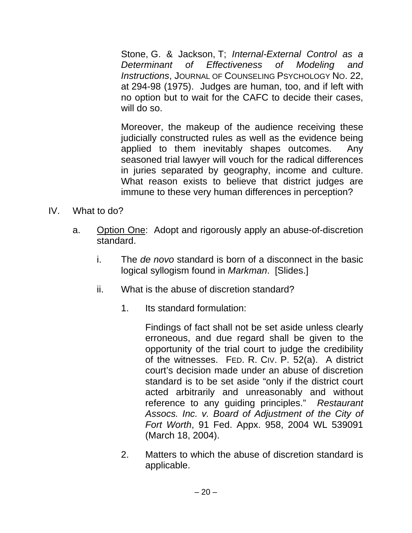Stone, G. & Jackson, T; *Internal-External Control as a Determinant of Effectiveness of Modeling and Instructions*, JOURNAL OF COUNSELING PSYCHOLOGY NO. 22, at 294-98 (1975). Judges are human, too, and if left with no option but to wait for the CAFC to decide their cases, will do so.

Moreover, the makeup of the audience receiving these judicially constructed rules as well as the evidence being applied to them inevitably shapes outcomes. Any seasoned trial lawyer will vouch for the radical differences in juries separated by geography, income and culture. What reason exists to believe that district judges are immune to these very human differences in perception?

- IV. What to do?
	- a. Option One: Adopt and rigorously apply an abuse-of-discretion standard.
		- i. The *de novo* standard is born of a disconnect in the basic logical syllogism found in *Markman*. [Slides.]
		- ii. What is the abuse of discretion standard?
			- 1. Its standard formulation:

Findings of fact shall not be set aside unless clearly erroneous, and due regard shall be given to the opportunity of the trial court to judge the credibility of the witnesses. FED. R. CIV. P. 52(a). A district court's decision made under an abuse of discretion standard is to be set aside "only if the district court acted arbitrarily and unreasonably and without reference to any guiding principles." *Restaurant Assocs. Inc. v. Board of Adjustment of the City of Fort Worth*, 91 Fed. Appx. 958, 2004 WL 539091 (March 18, 2004).

2. Matters to which the abuse of discretion standard is applicable.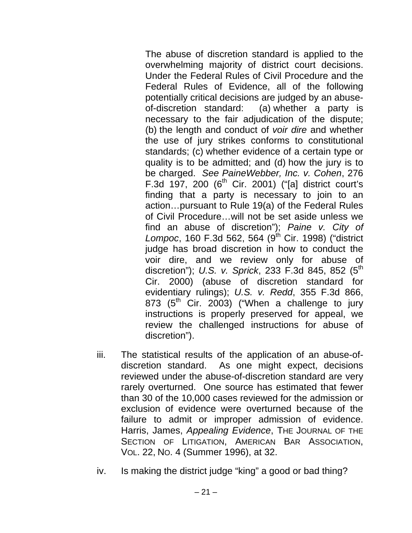The abuse of discretion standard is applied to the overwhelming majority of district court decisions. Under the Federal Rules of Civil Procedure and the Federal Rules of Evidence, all of the following potentially critical decisions are judged by an abuseof-discretion standard: (a) whether a party is necessary to the fair adjudication of the dispute; (b) the length and conduct of *voir dire* and whether the use of jury strikes conforms to constitutional standards; (c) whether evidence of a certain type or quality is to be admitted; and (d) how the jury is to be charged. *See PaineWebber, Inc. v. Cohen*, 276 F.3d 197, 200  $(6^{th}$  Cir. 2001) ("[a] district court's finding that a party is necessary to join to an action…pursuant to Rule 19(a) of the Federal Rules of Civil Procedure…will not be set aside unless we find an abuse of discretion"); *Paine v. City of*  Lompoc, 160 F.3d 562, 564 (9<sup>th</sup> Cir. 1998) ("district judge has broad discretion in how to conduct the voir dire, and we review only for abuse of discretion"); *U.S. v. Sprick*, 233 F.3d 845, 852 (5<sup>th</sup>) Cir. 2000) (abuse of discretion standard for evidentiary rulings); *U.S. v. Redd*, 355 F.3d 866, 873 ( $5<sup>th</sup>$  Cir. 2003) ("When a challenge to jury instructions is properly preserved for appeal, we review the challenged instructions for abuse of discretion").

- iii. The statistical results of the application of an abuse-ofdiscretion standard. As one might expect, decisions reviewed under the abuse-of-discretion standard are very rarely overturned. One source has estimated that fewer than 30 of the 10,000 cases reviewed for the admission or exclusion of evidence were overturned because of the failure to admit or improper admission of evidence. Harris, James, *Appealing Evidence*, THE JOURNAL OF THE SECTION OF LITIGATION, AMERICAN BAR ASSOCIATION, VOL. 22, NO. 4 (Summer 1996), at 32.
- iv. Is making the district judge "king" a good or bad thing?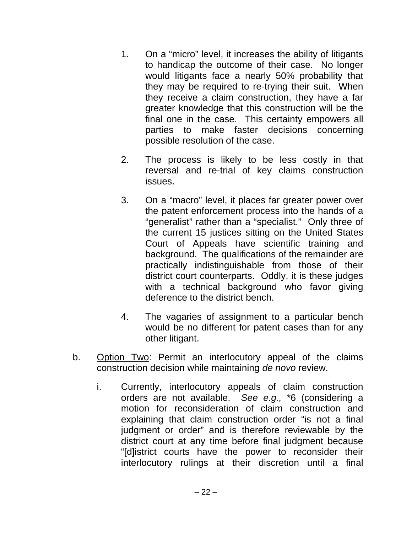- 1. On a "micro" level, it increases the ability of litigants to handicap the outcome of their case. No longer would litigants face a nearly 50% probability that they may be required to re-trying their suit. When they receive a claim construction, they have a far greater knowledge that this construction will be the final one in the case. This certainty empowers all parties to make faster decisions concerning possible resolution of the case.
- 2. The process is likely to be less costly in that reversal and re-trial of key claims construction issues.
- 3. On a "macro" level, it places far greater power over the patent enforcement process into the hands of a "generalist" rather than a "specialist." Only three of the current 15 justices sitting on the United States Court of Appeals have scientific training and background. The qualifications of the remainder are practically indistinguishable from those of their district court counterparts. Oddly, it is these judges with a technical background who favor giving deference to the district bench.
- 4. The vagaries of assignment to a particular bench would be no different for patent cases than for any other litigant.
- b. Option Two: Permit an interlocutory appeal of the claims construction decision while maintaining *de novo* review.
	- i. Currently, interlocutory appeals of claim construction orders are not available. *See e.g.,* \*6 (considering a motion for reconsideration of claim construction and explaining that claim construction order "is not a final judgment or order" and is therefore reviewable by the district court at any time before final judgment because "[d]istrict courts have the power to reconsider their interlocutory rulings at their discretion until a final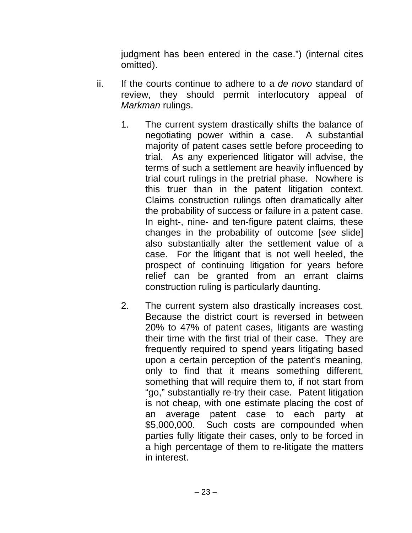judgment has been entered in the case.") (internal cites omitted).

- ii. If the courts continue to adhere to a *de novo* standard of review, they should permit interlocutory appeal of *Markman* rulings.
	- 1. The current system drastically shifts the balance of negotiating power within a case. A substantial majority of patent cases settle before proceeding to trial. As any experienced litigator will advise, the terms of such a settlement are heavily influenced by trial court rulings in the pretrial phase. Nowhere is this truer than in the patent litigation context. Claims construction rulings often dramatically alter the probability of success or failure in a patent case. In eight-, nine- and ten-figure patent claims, these changes in the probability of outcome [*see* slide] also substantially alter the settlement value of a case. For the litigant that is not well heeled, the prospect of continuing litigation for years before relief can be granted from an errant claims construction ruling is particularly daunting.
	- 2. The current system also drastically increases cost. Because the district court is reversed in between 20% to 47% of patent cases, litigants are wasting their time with the first trial of their case. They are frequently required to spend years litigating based upon a certain perception of the patent's meaning, only to find that it means something different, something that will require them to, if not start from "go," substantially re-try their case. Patent litigation is not cheap, with one estimate placing the cost of an average patent case to each party at \$5,000,000. Such costs are compounded when parties fully litigate their cases, only to be forced in a high percentage of them to re-litigate the matters in interest.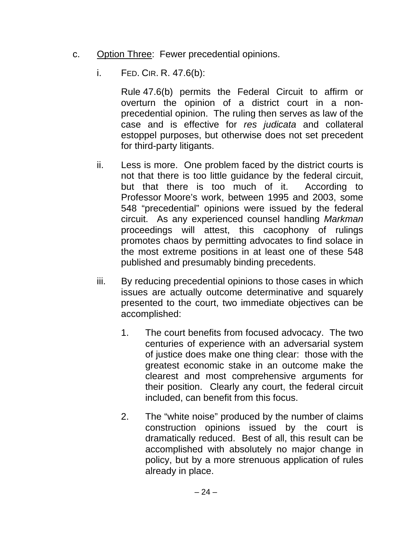- c. Option Three: Fewer precedential opinions.
	- i. FED. CIR. R. 47.6(b):

Rule 47.6(b) permits the Federal Circuit to affirm or overturn the opinion of a district court in a nonprecedential opinion. The ruling then serves as law of the case and is effective for *res judicata* and collateral estoppel purposes, but otherwise does not set precedent for third-party litigants.

- ii. Less is more. One problem faced by the district courts is not that there is too little guidance by the federal circuit, but that there is too much of it. According to Professor Moore's work, between 1995 and 2003, some 548 "precedential" opinions were issued by the federal circuit. As any experienced counsel handling *Markman* proceedings will attest, this cacophony of rulings promotes chaos by permitting advocates to find solace in the most extreme positions in at least one of these 548 published and presumably binding precedents.
- iii. By reducing precedential opinions to those cases in which issues are actually outcome determinative and squarely presented to the court, two immediate objectives can be accomplished:
	- 1. The court benefits from focused advocacy. The two centuries of experience with an adversarial system of justice does make one thing clear: those with the greatest economic stake in an outcome make the clearest and most comprehensive arguments for their position. Clearly any court, the federal circuit included, can benefit from this focus.
	- 2. The "white noise" produced by the number of claims construction opinions issued by the court is dramatically reduced. Best of all, this result can be accomplished with absolutely no major change in policy, but by a more strenuous application of rules already in place.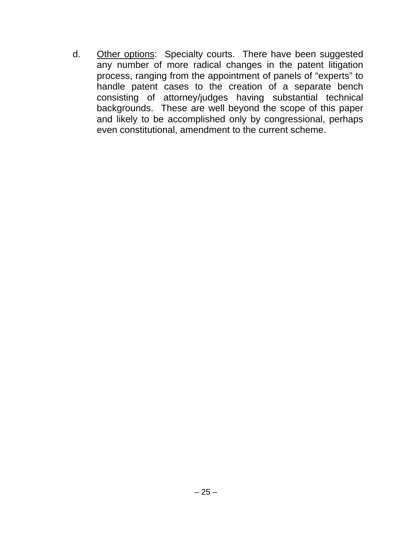d. Other options: Specialty courts. There have been suggested any number of more radical changes in the patent litigation process, ranging from the appointment of panels of "experts" to handle patent cases to the creation of a separate bench consisting of attorney/judges having substantial technical backgrounds. These are well beyond the scope of this paper and likely to be accomplished only by congressional, perhaps even constitutional, amendment to the current scheme.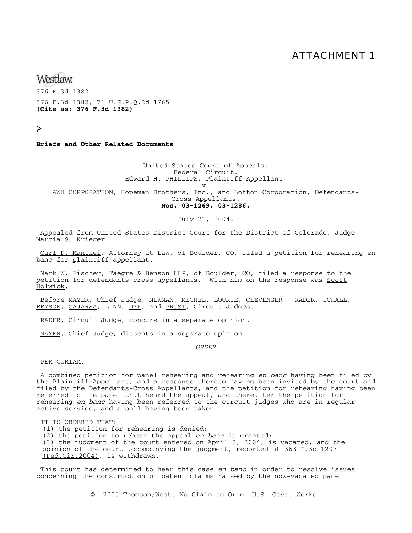### ATTACHMENT 1

Westlaw

376 F.3d 1382 376 F.3d 1382, 71 U.S.P.Q.2d 1765 **(Cite as: 376 F.3d 1382)**

Þ

### **Briefs and Other Related Documents**

United States Court of Appeals, Federal Circuit. Edward H. PHILLIPS, Plaintiff-Appellant, v.

AWH CORPORATION, Hopeman Brothers, Inc., and Lofton Corporation, Defendants-Cross Appellants.

#### **Nos. 03-1269, 03-1286.**

### July 21, 2004.

 Appealed from United States District Court for the District of Colorado, Judge Marcia S. Krieger.

 Carl F. Manthei, Attorney at Law, of Boulder, CO, filed a petition for rehearing en banc for plaintiff-appellant.

Mark W. Fischer, Faegre & Benson LLP, of Boulder, CO, filed a response to the petition for defendants-cross appellants. With him on the response was Scott Holwick.

Before <u>MAYER</u>, Chief Judge, NEWMAN, MICHEL, LOURIE, CLEVENGER, RADER, SCHALL, BRYSON, GAJARSA, LINN, DYK, and PROST, Circuit Judges.

RADER, Circuit Judge, concurs in a separate opinion.

MAYER, Chief Judge, dissents in a separate opinion.

*ORDER*

PER CURIAM.

 A combined petition for panel rehearing and rehearing *en banc* having been filed by the Plaintiff-Appellant, and a response thereto having been invited by the court and filed by the Defendants-Cross Appellants, and the petition for rehearing having been referred to the panel that heard the appeal, and thereafter the petition for rehearing *en banc* having been referred to the circuit judges who are in regular active service, and a poll having been taken

IT IS ORDERED THAT:

(1) the petition for rehearing is denied;

(2) the petition to rehear the appeal *en banc* is granted;

(3) the judgment of the court entered on April 8, 2004, is vacated, and the opinion of the court accompanying the judgment, reported at 363 F.3d 1207 (Fed.Cir.2004), is withdrawn.

 This court has determined to hear this case *en banc* in order to resolve issues concerning the construction of patent claims raised by the now-vacated panel

© 2005 Thomson/West. No Claim to Orig. U.S. Govt. Works.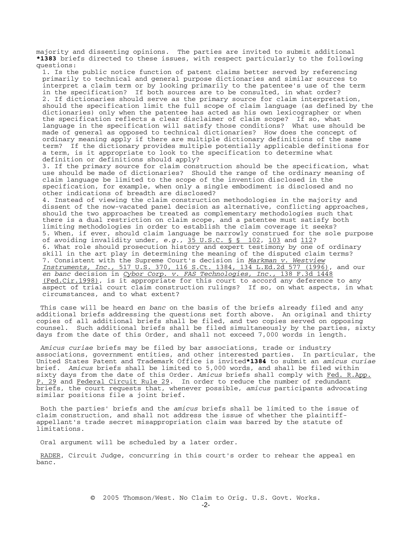majority and dissenting opinions. The parties are invited to submit additional **\*1383** briefs directed to these issues, with respect particularly to the following questions: 1. Is the public notice function of patent claims better served by referencing primarily to technical and general purpose dictionaries and similar sources to interpret a claim term or by looking primarily to the patentee's use of the term in the specification? If both sources are to be consulted, in what order? 2. If dictionaries should serve as the primary source for claim interpretation, should the specification limit the full scope of claim language (as defined by the dictionaries) only when the patentee has acted as his own lexicographer or when the specification reflects a clear disclaimer of claim scope? If so, what language in the specification will satisfy those conditions? What use should be made of general as opposed to technical dictionaries? How does the concept of ordinary meaning apply if there are multiple dictionary definitions of the same term? If the dictionary provides multiple potentially applicable definitions for a term, is it appropriate to look to the specification to determine what definition or definitions should apply? 3. If the primary source for claim construction should be the specification, what use should be made of dictionaries? Should the range of the ordinary meaning of claim language be limited to the scope of the invention disclosed in the specification, for example, when only a single embodiment is disclosed and no other indications of breadth are disclosed? 4. Instead of viewing the claim construction methodologies in the majority and dissent of the now-vacated panel decision as alternative, conflicting approaches, should the two approaches be treated as complementary methodologies such that there is a dual restriction on claim scope, and a patentee must satisfy both limiting methodologies in order to establish the claim coverage it seeks? 5. When, if ever, should claim language be narrowly construed for the sole purpose of avoiding invalidity under, *e.g.,* 35 U.S.C. § § 102, 103 and 112? 6. What role should prosecution history and expert testimony by one of ordinary skill in the art play in determining the meaning of the disputed claim terms? 7. Consistent with the Supreme Court's decision in *Markman v. Westview Instruments, Inc.,* 517 U.S. 370, 116 S.Ct. 1384, 134 L.Ed.2d 577 (1996), and our *en banc* decision in *Cybor Corp. v. FAS Technologies, Inc.,* 138 F.3d 1448 (Fed.Cir.1998), is it appropriate for this court to accord any deference to any aspect of  $\overline{trial}$  court claim construction rulings? If so, on what aspects, in what

circumstances, and to what extent?

 This case will be heard *en banc* on the basis of the briefs already filed and any additional briefs addressing the questions set forth above. An original and thirty copies of all additional briefs shall be filed, and two copies served on opposing counsel. Such additional briefs shall be filed simultaneously by the parties, sixty days from the date of this Order, and shall not exceed 7,000 words in length.

*Amicus curiae* briefs may be filed by bar associations, trade or industry associations, government entities, and other interested parties. In particular, the United States Patent and Trademark Office is invited**\*1384** to submit an *amicus curiae* brief. *Amicus* briefs shall be limited to 5,000 words, and shall be filed within sixty days from the date of this Order. *Amicus* briefs shall comply with Fed. R.App. P. 29 and Federal Circuit Rule 29. In order to reduce the number of redundant briefs, the court requests that, whenever possible, *amicus* participants advocating similar positions file a joint brief.

 Both the parties' briefs and the *amicus* briefs shall be limited to the issue of claim construction, and shall not address the issue of whether the plaintiffappellant's trade secret misappropriation claim was barred by the statute of limitations.

Oral argument will be scheduled by a later order.

 RADER, Circuit Judge, concurring in this court's order to rehear the appeal en banc.